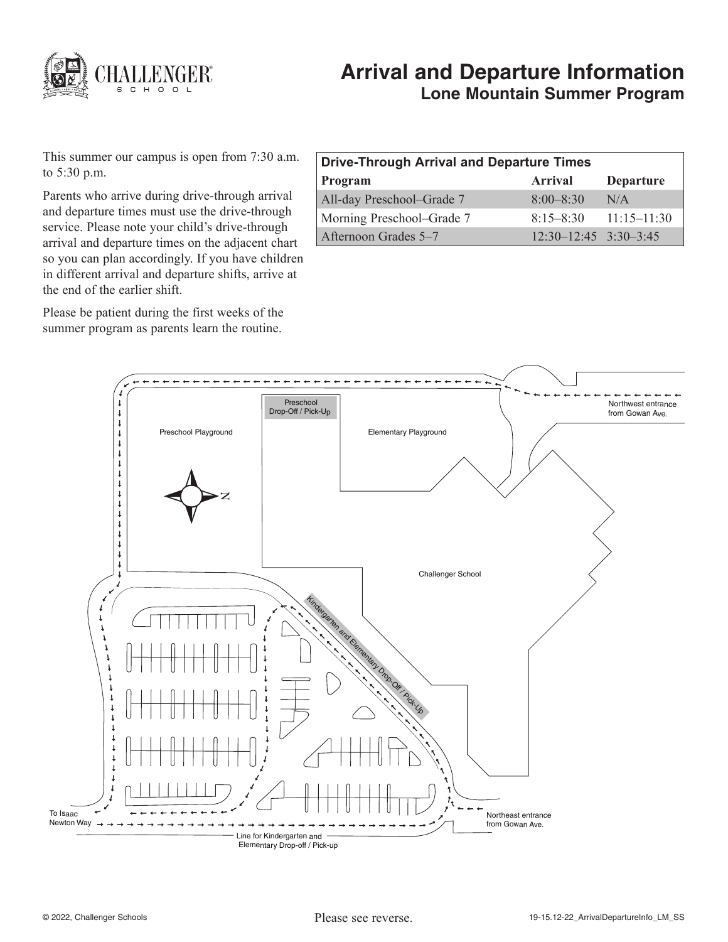

# **Arrival and Departure Information Lone Mountain Summer Program**

This summer our campus is open from 7:30 a.m. to 5:30 p.m.

Parents who arrive during drive-through arrival and departure times must use the drive-through service. Please note your child's drive-through arrival and departure times on the adjacent chart so you can plan accordingly. If you have children in different arrival and departure shifts, arrive at the end of the earlier shift.

Please be patient during the first weeks of the summer program as parents learn the routine.

| <b>Drive-Through Arrival and Departure Times</b> |                           |                  |
|--------------------------------------------------|---------------------------|------------------|
| Program                                          | Arrival                   | <b>Departure</b> |
| All-day Preschool-Grade 7                        | $8:00 - 8:30$             | N/A              |
| Morning Preschool–Grade 7                        | $8:15 - 8:30$             | $11:15 - 11:30$  |
| Afternoon Grades 5–7                             | $12:30-12:45$ $3:30-3:45$ |                  |